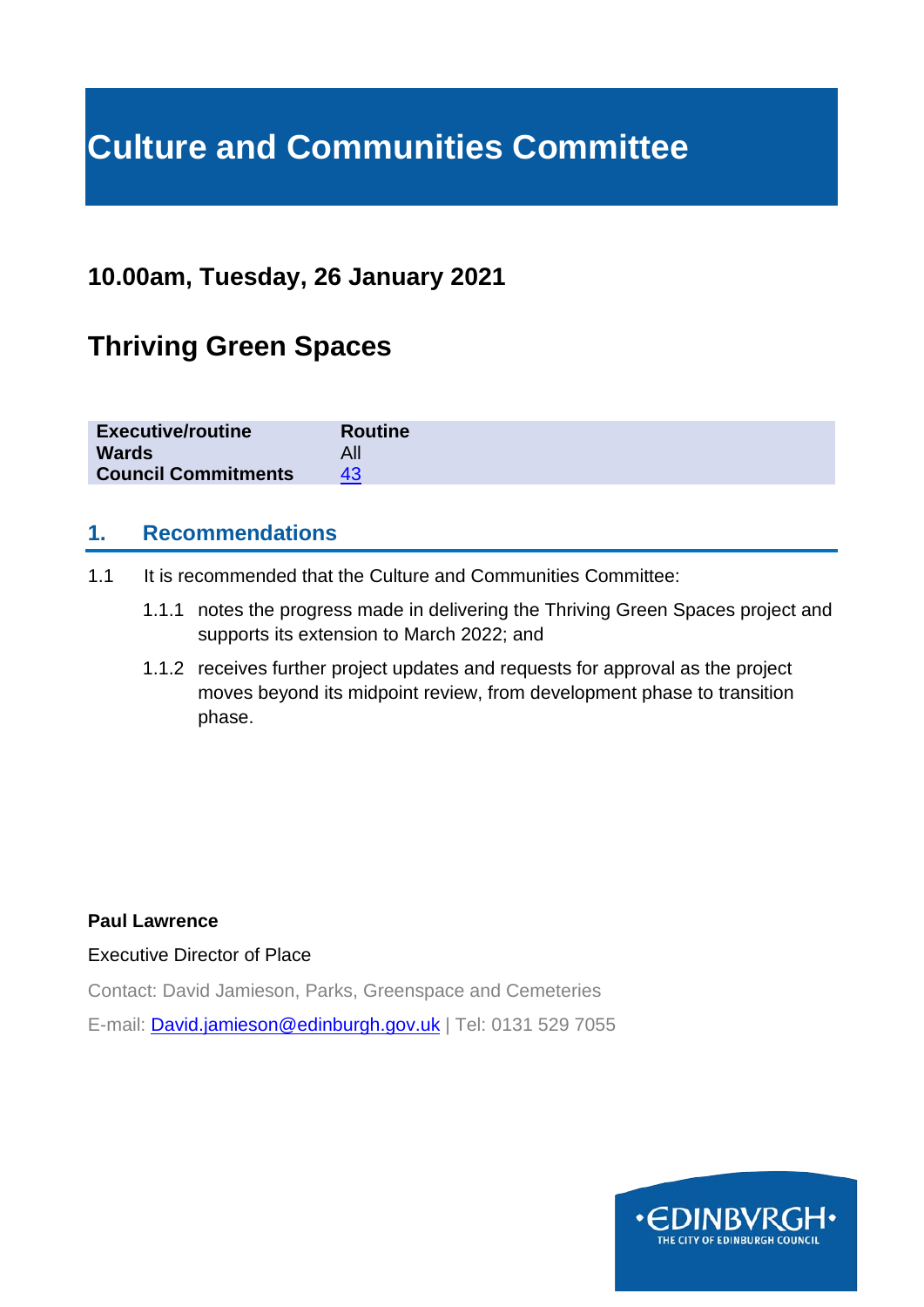# **Culture and Communities Committee**

# **10.00am, Tuesday, 26 January 2021**

# **Thriving Green Spaces**

| <b>Executive/routine</b>   | <b>Routine</b> |
|----------------------------|----------------|
| <b>Wards</b>               |                |
| <b>Council Commitments</b> | 43             |

#### **1. Recommendations**

- 1.1 It is recommended that the Culture and Communities Committee:
	- 1.1.1 notes the progress made in delivering the Thriving Green Spaces project and supports its extension to March 2022; and
	- 1.1.2 receives further project updates and requests for approval as the project moves beyond its midpoint review, from development phase to transition phase.

#### **Paul Lawrence**

Executive Director of Place

Contact: David Jamieson, Parks, Greenspace and Cemeteries

E-mail: **[David.jamieson@edinburgh.gov.uk](mailto:David.jamieson@edinburgh.gov.uk)** | Tel: 0131 529 7055

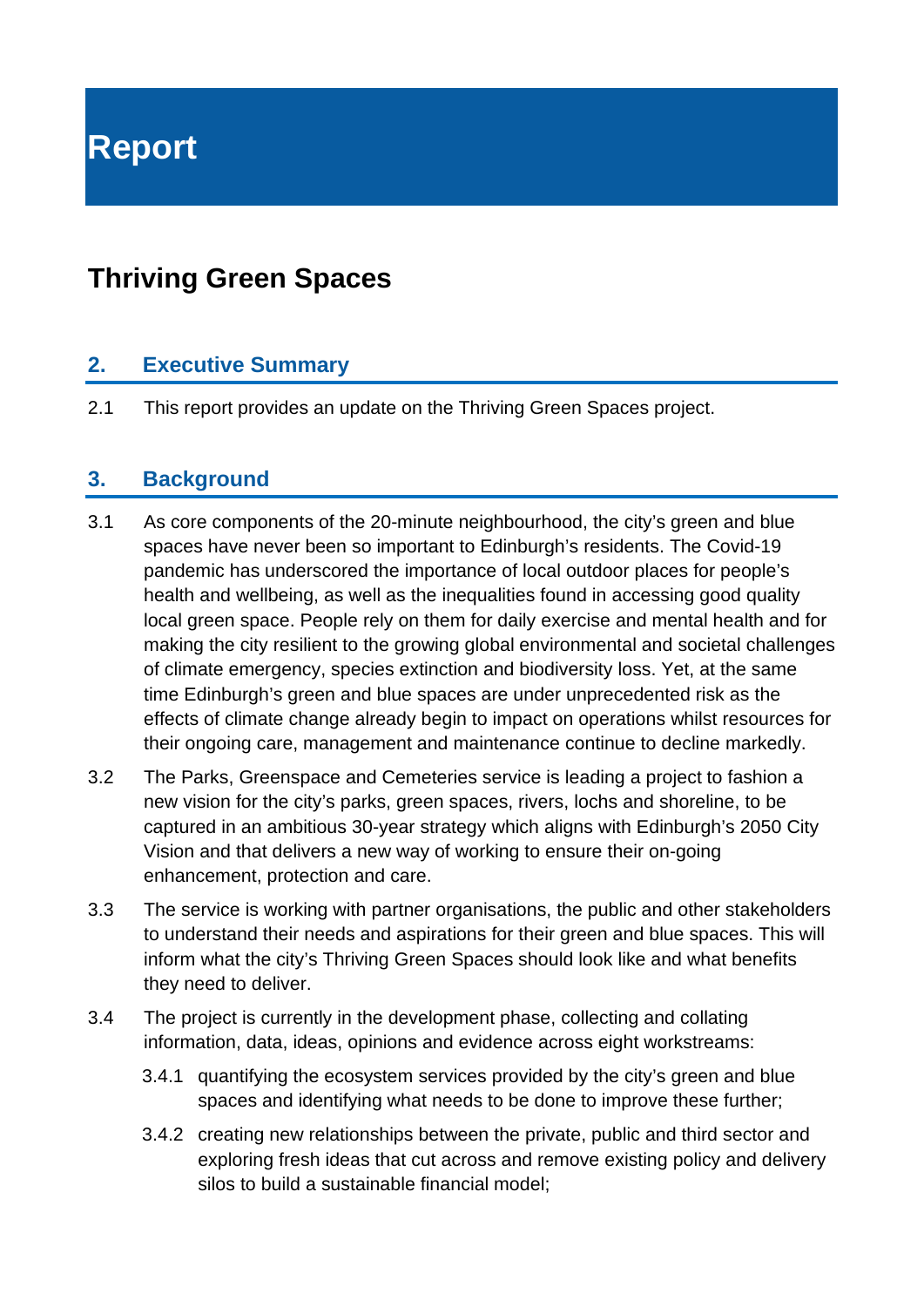**Report**

# **Thriving Green Spaces**

#### **2. Executive Summary**

2.1 This report provides an update on the Thriving Green Spaces project.

#### **3. Background**

- 3.1 As core components of the 20-minute neighbourhood, the city's green and blue spaces have never been so important to Edinburgh's residents. The Covid-19 pandemic has underscored the importance of local outdoor places for people's health and wellbeing, as well as the inequalities found in accessing good quality local green space. People rely on them for daily exercise and mental health and for making the city resilient to the growing global environmental and societal challenges of climate emergency, species extinction and biodiversity loss. Yet, at the same time Edinburgh's green and blue spaces are under unprecedented risk as the effects of climate change already begin to impact on operations whilst resources for their ongoing care, management and maintenance continue to decline markedly.
- 3.2 The Parks, Greenspace and Cemeteries service is leading a project to fashion a new vision for the city's parks, green spaces, rivers, lochs and shoreline, to be captured in an ambitious 30-year strategy which aligns with Edinburgh's 2050 City Vision and that delivers a new way of working to ensure their on-going enhancement, protection and care.
- 3.3 The service is working with partner organisations, the public and other stakeholders to understand their needs and aspirations for their green and blue spaces. This will inform what the city's Thriving Green Spaces should look like and what benefits they need to deliver.
- 3.4 The project is currently in the development phase, collecting and collating information, data, ideas, opinions and evidence across eight workstreams:
	- 3.4.1 quantifying the ecosystem services provided by the city's green and blue spaces and identifying what needs to be done to improve these further;
	- 3.4.2 creating new relationships between the private, public and third sector and exploring fresh ideas that cut across and remove existing policy and delivery silos to build a sustainable financial model;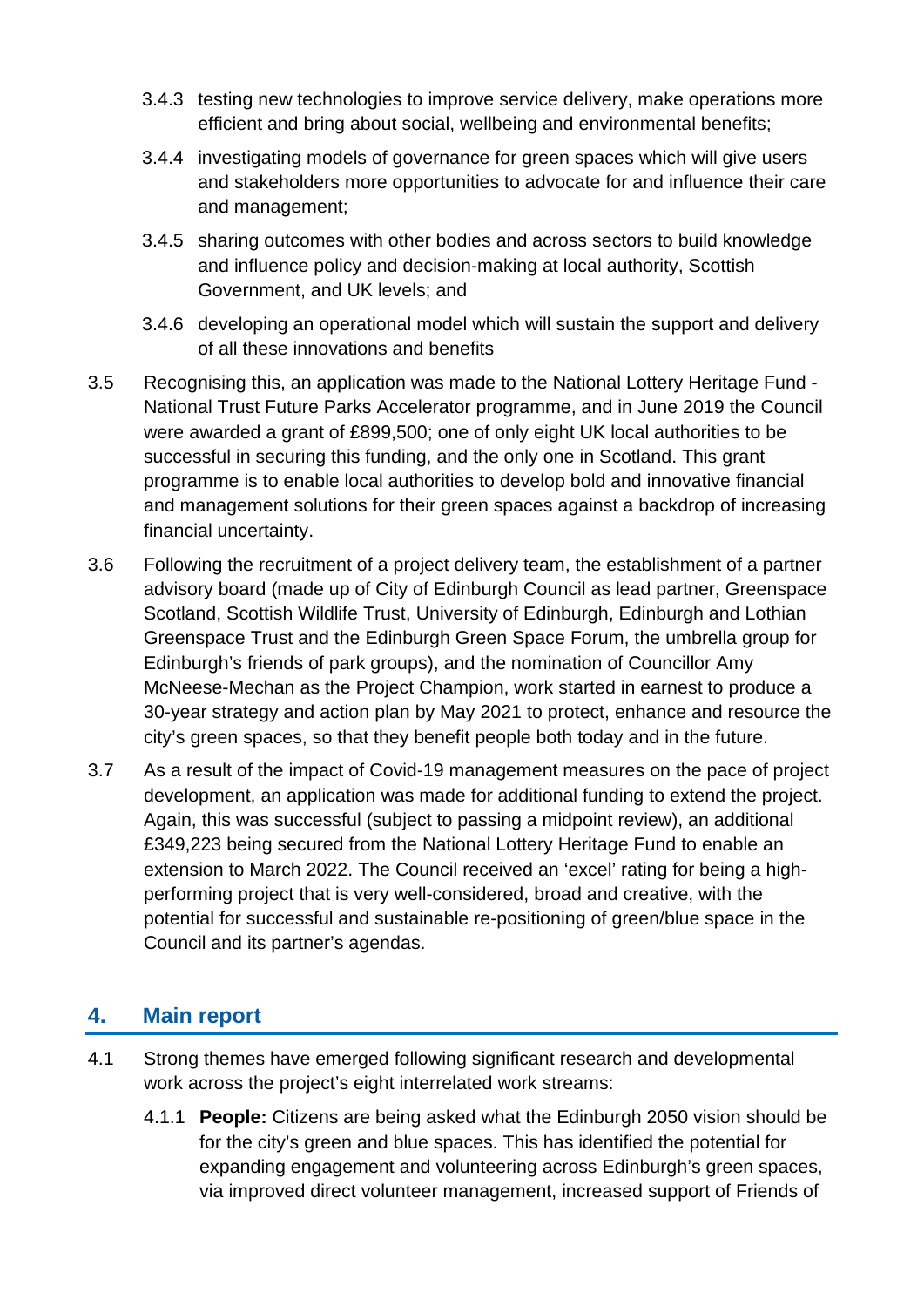- 3.4.3 testing new technologies to improve service delivery, make operations more efficient and bring about social, wellbeing and environmental benefits;
- 3.4.4 investigating models of governance for green spaces which will give users and stakeholders more opportunities to advocate for and influence their care and management;
- 3.4.5 sharing outcomes with other bodies and across sectors to build knowledge and influence policy and decision-making at local authority, Scottish Government, and UK levels; and
- 3.4.6 developing an operational model which will sustain the support and delivery of all these innovations and benefits
- 3.5 Recognising this, an application was made to the National Lottery Heritage Fund National Trust Future Parks Accelerator programme, and in June 2019 the Council were awarded a grant of £899,500; one of only eight UK local authorities to be successful in securing this funding, and the only one in Scotland. This grant programme is to enable local authorities to develop bold and innovative financial and management solutions for their green spaces against a backdrop of increasing financial uncertainty.
- 3.6 Following the recruitment of a project delivery team, the establishment of a partner advisory board (made up of City of Edinburgh Council as lead partner, Greenspace Scotland, Scottish Wildlife Trust, University of Edinburgh, Edinburgh and Lothian Greenspace Trust and the Edinburgh Green Space Forum, the umbrella group for Edinburgh's friends of park groups), and the nomination of Councillor Amy McNeese-Mechan as the Project Champion, work started in earnest to produce a 30-year strategy and action plan by May 2021 to protect, enhance and resource the city's green spaces, so that they benefit people both today and in the future.
- 3.7 As a result of the impact of Covid-19 management measures on the pace of project development, an application was made for additional funding to extend the project. Again, this was successful (subject to passing a midpoint review), an additional £349,223 being secured from the National Lottery Heritage Fund to enable an extension to March 2022. The Council received an 'excel' rating for being a highperforming project that is very well-considered, broad and creative, with the potential for successful and sustainable re-positioning of green/blue space in the Council and its partner's agendas.

### **4. Main report**

- 4.1 Strong themes have emerged following significant research and developmental work across the project's eight interrelated work streams:
	- 4.1.1 **People:** Citizens are being asked what the Edinburgh 2050 vision should be for the city's green and blue spaces. This has identified the potential for expanding engagement and volunteering across Edinburgh's green spaces, via improved direct volunteer management, increased support of Friends of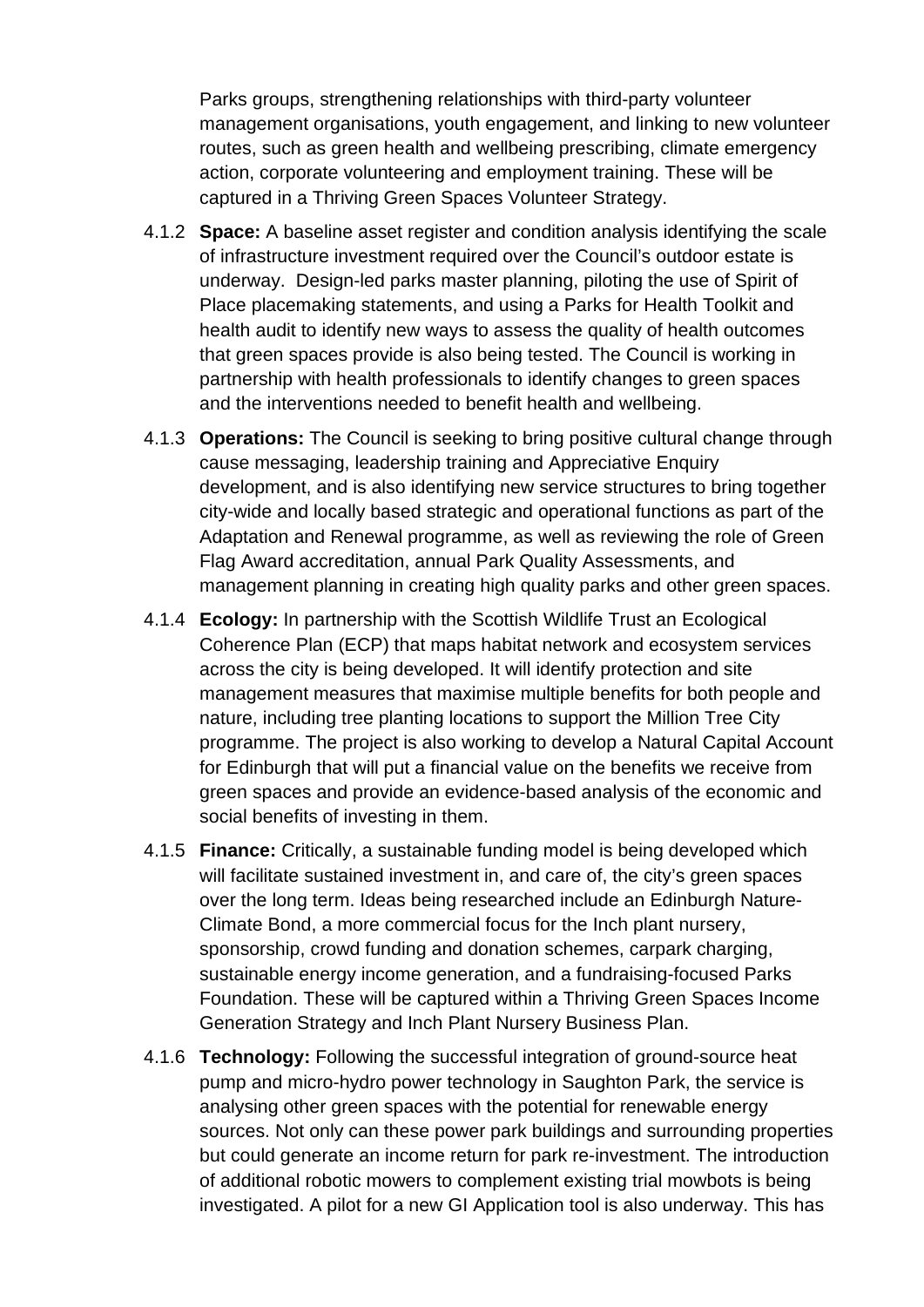Parks groups, strengthening relationships with third-party volunteer management organisations, youth engagement, and linking to new volunteer routes, such as green health and wellbeing prescribing, climate emergency action, corporate volunteering and employment training. These will be captured in a Thriving Green Spaces Volunteer Strategy.

- 4.1.2 **Space:** A baseline asset register and condition analysis identifying the scale of infrastructure investment required over the Council's outdoor estate is underway. Design-led parks master planning, piloting the use of Spirit of Place placemaking statements, and using a Parks for Health Toolkit and health audit to identify new ways to assess the quality of health outcomes that green spaces provide is also being tested. The Council is working in partnership with health professionals to identify changes to green spaces and the interventions needed to benefit health and wellbeing.
- 4.1.3 **Operations:** The Council is seeking to bring positive cultural change through cause messaging, leadership training and Appreciative Enquiry development, and is also identifying new service structures to bring together city-wide and locally based strategic and operational functions as part of the Adaptation and Renewal programme, as well as reviewing the role of Green Flag Award accreditation, annual Park Quality Assessments, and management planning in creating high quality parks and other green spaces.
- 4.1.4 **Ecology:** In partnership with the Scottish Wildlife Trust an Ecological Coherence Plan (ECP) that maps habitat network and ecosystem services across the city is being developed. It will identify protection and site management measures that maximise multiple benefits for both people and nature, including tree planting locations to support the Million Tree City programme. The project is also working to develop a Natural Capital Account for Edinburgh that will put a financial value on the benefits we receive from green spaces and provide an evidence-based analysis of the economic and social benefits of investing in them.
- 4.1.5 **Finance:** Critically, a sustainable funding model is being developed which will facilitate sustained investment in, and care of, the city's green spaces over the long term. Ideas being researched include an Edinburgh Nature-Climate Bond, a more commercial focus for the Inch plant nursery, sponsorship, crowd funding and donation schemes, carpark charging, sustainable energy income generation, and a fundraising-focused Parks Foundation. These will be captured within a Thriving Green Spaces Income Generation Strategy and Inch Plant Nursery Business Plan.
- 4.1.6 **Technology:** Following the successful integration of ground-source heat pump and micro-hydro power technology in Saughton Park, the service is analysing other green spaces with the potential for renewable energy sources. Not only can these power park buildings and surrounding properties but could generate an income return for park re-investment. The introduction of additional robotic mowers to complement existing trial mowbots is being investigated. A pilot for a new GI Application tool is also underway. This has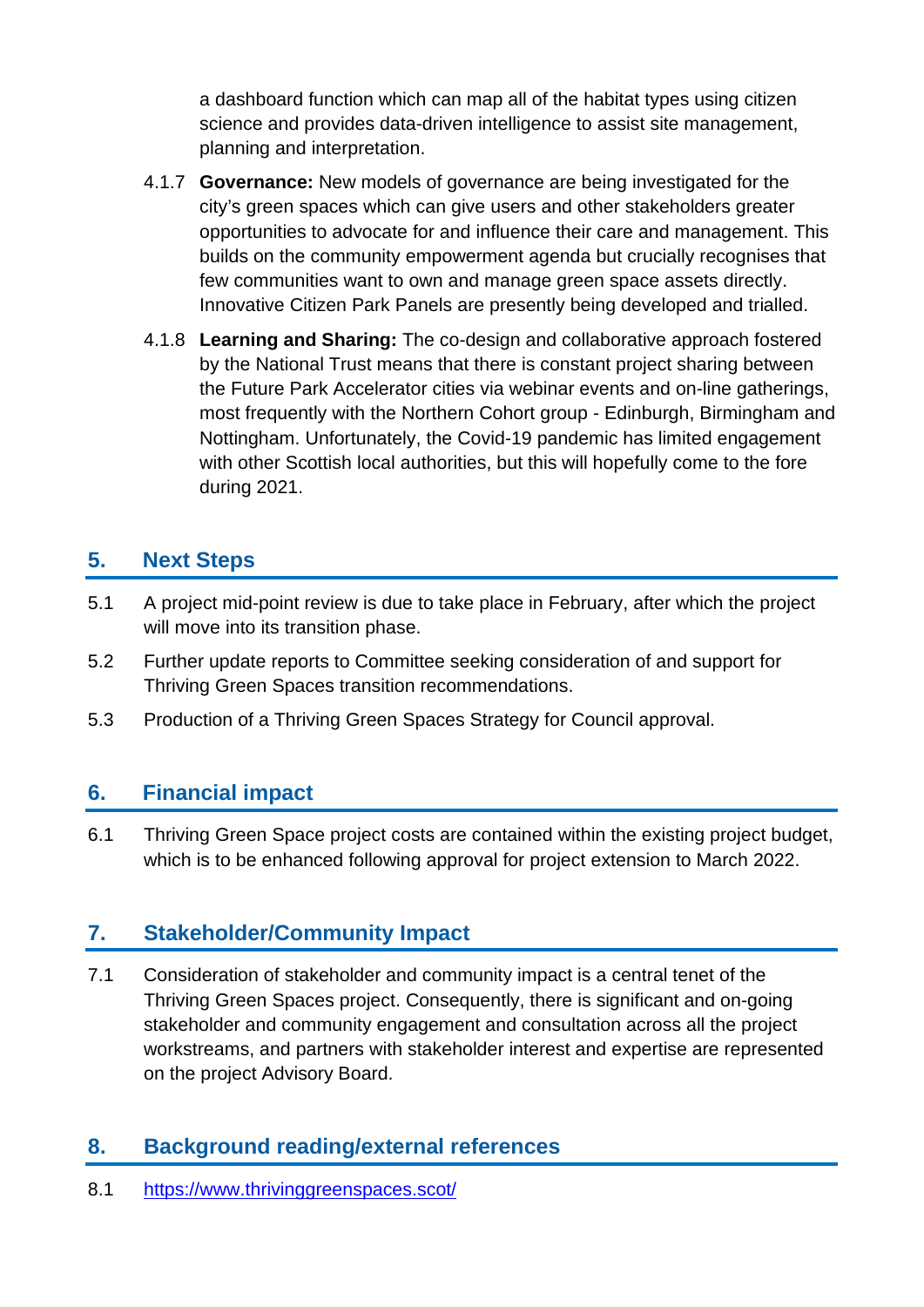a dashboard function which can map all of the habitat types using citizen science and provides data-driven intelligence to assist site management, planning and interpretation.

- 4.1.7 **Governance:** New models of governance are being investigated for the city's green spaces which can give users and other stakeholders greater opportunities to advocate for and influence their care and management. This builds on the community empowerment agenda but crucially recognises that few communities want to own and manage green space assets directly. Innovative Citizen Park Panels are presently being developed and trialled.
- 4.1.8 **Learning and Sharing:** The co-design and collaborative approach fostered by the National Trust means that there is constant project sharing between the Future Park Accelerator cities via webinar events and on-line gatherings, most frequently with the Northern Cohort group - Edinburgh, Birmingham and Nottingham. Unfortunately, the Covid-19 pandemic has limited engagement with other Scottish local authorities, but this will hopefully come to the fore during 2021.

# **5. Next Steps**

- 5.1 A project mid-point review is due to take place in February, after which the project will move into its transition phase.
- 5.2 Further update reports to Committee seeking consideration of and support for Thriving Green Spaces transition recommendations.
- 5.3 Production of a Thriving Green Spaces Strategy for Council approval.

## **6. Financial impact**

6.1 Thriving Green Space project costs are contained within the existing project budget, which is to be enhanced following approval for project extension to March 2022.

### **7. Stakeholder/Community Impact**

7.1 Consideration of stakeholder and community impact is a central tenet of the Thriving Green Spaces project. Consequently, there is significant and on-going stakeholder and community engagement and consultation across all the project workstreams, and partners with stakeholder interest and expertise are represented on the project Advisory Board.

## **8. Background reading/external references**

8.1 <https://www.thrivinggreenspaces.scot/>